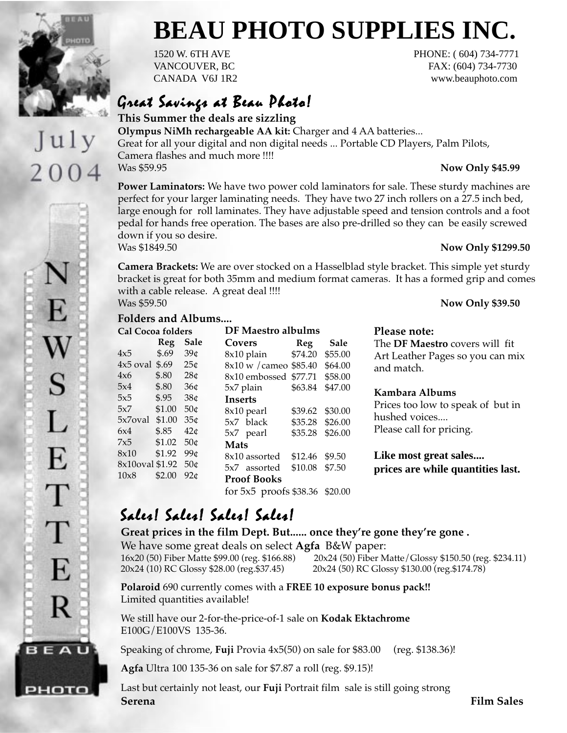

July

2004

F.

S

 $\overline{L}$ 

E

Τ

T

E

R

**BEAU** 

рното

# **BEAU PHOTO SUPPLIES INC.**

1520 W. 6TH AVE PHONE: (604) 734-7771 VANCOUVER, BC FAX: (604) 734-7730 CANADA V6J 1R2 www.beauphoto.com

### Great Savings at Beau Photo!

**This Summer the deals are sizzling Olympus NiMh rechargeable AA kit:** Charger and 4 AA batteries... Great for all your digital and non digital needs ... Portable CD Players, Palm Pilots, Camera flashes and much more !!!! Was \$59.95 **Now Only \$45.99**

**Power Laminators:** We have two power cold laminators for sale. These sturdy machines are perfect for your larger laminating needs. They have two 27 inch rollers on a 27.5 inch bed, large enough for roll laminates. They have adjustable speed and tension controls and a foot pedal for hands free operation. The bases are also pre-drilled so they can be easily screwed down if you so desire.

#### Was \$1849.50 **Now Only \$1299.50**

**Camera Brackets:** We are over stocked on a Hasselblad style bracket. This simple yet sturdy bracket is great for both 35mm and medium format cameras. It has a formed grip and comes with a cable release. A great deal !!!! Was \$59.50 **Now Only \$39.50**

#### **Folders and Albums....**

| <b>Cal Cocoa folders</b> |        |                 | DF Maestro albulms                 |         |         |
|--------------------------|--------|-----------------|------------------------------------|---------|---------|
|                          | Reg    | Sale            | <b>Covers</b>                      | Reg     | Sale    |
| 4x5                      | \$.69  | 39 <sub>0</sub> | 8x10 plain                         | \$74.20 | \$55.00 |
| $4x5$ oval               | \$.69  | 25¢             | 8x10 w / cameo \$85.40             |         | \$64.00 |
| 4x6                      | \$.80  | 28 <sub>¢</sub> | 8x10 embossed \$77.71              |         | \$58.00 |
| 5x4                      | \$.80  | 36 <sub>¢</sub> | 5x7 plain                          | \$63.84 | \$47.00 |
| 5x5                      | \$.95  | 38 <sub>¢</sub> | Inserts                            |         |         |
| 5x7                      | \$1.00 | 50 <sub>0</sub> | 8x10 pearl                         | \$39.62 | \$30.00 |
| 5x7oval                  | \$1.00 | 35 <sub>0</sub> | 5x7 black                          | \$35.28 | \$26.00 |
| 6x4                      | \$.85  | 42 <sub>0</sub> | 5x7 pearl                          | \$35.28 | \$26.00 |
| 7x5                      | \$1.02 | 50 <sub>¢</sub> | Mats                               |         |         |
| 8x10                     | \$1.92 | 99 <sub>0</sub> | 8x10 assorted                      | \$12.46 | \$9.50  |
| 8x10oval \$1.92          |        | 50 <sub>¢</sub> | 5x7 assorted                       | \$10.08 | \$7.50  |
| 10x8                     | \$2.00 | 92c             | <b>Proof Books</b>                 |         |         |
|                          |        |                 | for $5x5$ proofs $$38.36$ $$20.00$ |         |         |

### **Please note:**

The **DF Maestro** covers will fit Art Leather Pages so you can mix and match.

### **Kambara Albums**

Prices too low to speak of but in hushed voices.... Please call for pricing.

**Like most great sales.... prices are while quantities last.**

### Sales! Sales! Sales! Sales! Sales! Sales! Sales!

**Great prices in the film Dept. But...... once they're gone they're gone .** We have some great deals on select **Agfa** B&W paper: 16x20 (50) Fiber Matte \$99.00 (reg. \$166.88) 20x24 (50) Fiber Matte/Glossy \$150.50 (reg. \$234.11) 20x24 (10) RC Glossy \$28.00 (reg.\$37.45) 20x24 (50) RC Glossy \$130.00 (reg.\$174.78)

**Polaroid** 690 currently comes with a **FREE 10 exposure bonus pack!!** Limited quantities available!

We still have our 2-for-the-price-of-1 sale on **Kodak Ektachrome** E100G/E100VS 135-36.

Speaking of chrome, **Fuji** Provia 4x5(50) on sale for \$83.00 (reg. \$138.36)!

**Agfa** Ultra 100 135-36 on sale for \$7.87 a roll (reg. \$9.15)!

Last but certainly not least, our **Fuji** Portrait film sale is still going strong **Serena Film Sales**